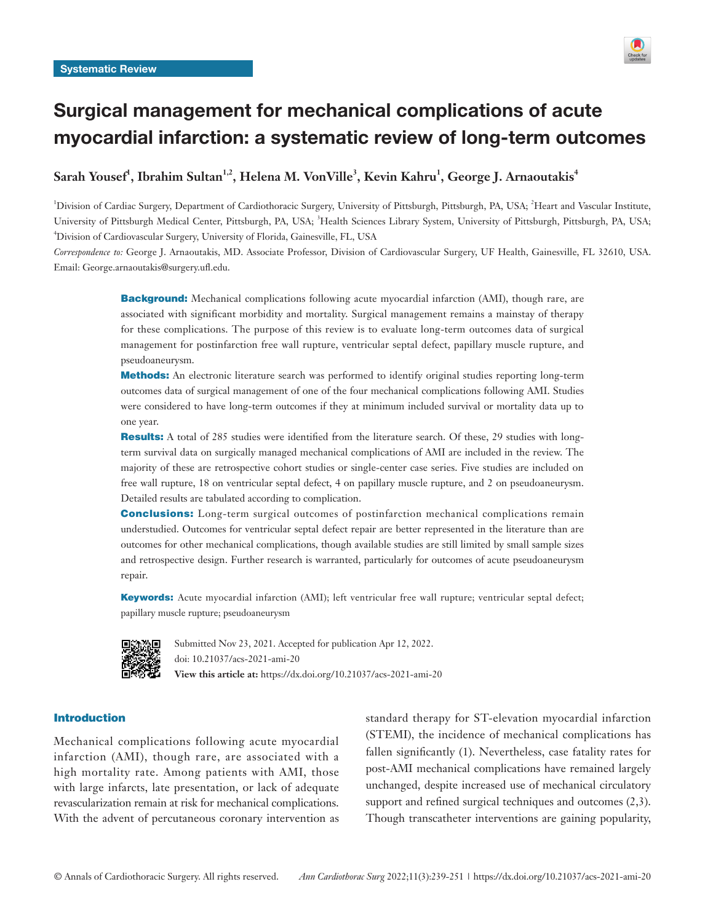

# Surgical management for mechanical complications of acute myocardial infarction: a systematic review of long-term outcomes

 $\mathbf{S}$ arah Yousef $^{\mathsf{I}}, \mathsf{I}$ brahim Sultan $^{1,2}, \mathsf{Hel}$ ena M. VonVille $^3, \mathsf{K}$ evin Kahru $^{\mathsf{I}}, \mathsf{George}$  J. Arnaoutakis $^{\mathsf{4}}$ 

<sup>1</sup>Division of Cardiac Surgery, Department of Cardiothoracic Surgery, University of Pittsburgh, Pittsburgh, PA, USA; <sup>2</sup>Heart and Vascular Institute, University of Pittsburgh Medical Center, Pittsburgh, PA, USA; <sup>3</sup>Health Sciences Library System, University of Pittsburgh, Pittsburgh, PA, USA; 4 Division of Cardiovascular Surgery, University of Florida, Gainesville, FL, USA

*Correspondence to:* George J. Arnaoutakis, MD. Associate Professor, Division of Cardiovascular Surgery, UF Health, Gainesville, FL 32610, USA. Email: George.arnaoutakis@surgery.ufl.edu.

> **Background:** Mechanical complications following acute myocardial infarction (AMI), though rare, are associated with significant morbidity and mortality. Surgical management remains a mainstay of therapy for these complications. The purpose of this review is to evaluate long-term outcomes data of surgical management for postinfarction free wall rupture, ventricular septal defect, papillary muscle rupture, and pseudoaneurysm.

> Methods: An electronic literature search was performed to identify original studies reporting long-term outcomes data of surgical management of one of the four mechanical complications following AMI. Studies were considered to have long-term outcomes if they at minimum included survival or mortality data up to one year.

> Results: A total of 285 studies were identified from the literature search. Of these, 29 studies with longterm survival data on surgically managed mechanical complications of AMI are included in the review. The majority of these are retrospective cohort studies or single-center case series. Five studies are included on free wall rupture, 18 on ventricular septal defect, 4 on papillary muscle rupture, and 2 on pseudoaneurysm. Detailed results are tabulated according to complication.

> **Conclusions:** Long-term surgical outcomes of postinfarction mechanical complications remain understudied. Outcomes for ventricular septal defect repair are better represented in the literature than are outcomes for other mechanical complications, though available studies are still limited by small sample sizes and retrospective design. Further research is warranted, particularly for outcomes of acute pseudoaneurysm repair.

> Keywords: Acute myocardial infarction (AMI); left ventricular free wall rupture; ventricular septal defect; papillary muscle rupture; pseudoaneurysm



Submitted Nov 23, 2021. Accepted for publication Apr 12, 2022. doi: 10.21037/acs-2021-ami-20 **View this article at:** https://dx.doi.org/10.21037/acs-2021-ami-20

# Introduction

Mechanical complications following acute myocardial infarction (AMI), though rare, are associated with a high mortality rate. Among patients with AMI, those with large infarcts, late presentation, or lack of adequate revascularization remain at risk for mechanical complications. With the advent of percutaneous coronary intervention as standard therapy for ST-elevation myocardial infarction (STEMI), the incidence of mechanical complications has fallen significantly (1). Nevertheless, case fatality rates for post-AMI mechanical complications have remained largely unchanged, despite increased use of mechanical circulatory support and refined surgical techniques and outcomes (2,3). Though transcatheter interventions are gaining popularity,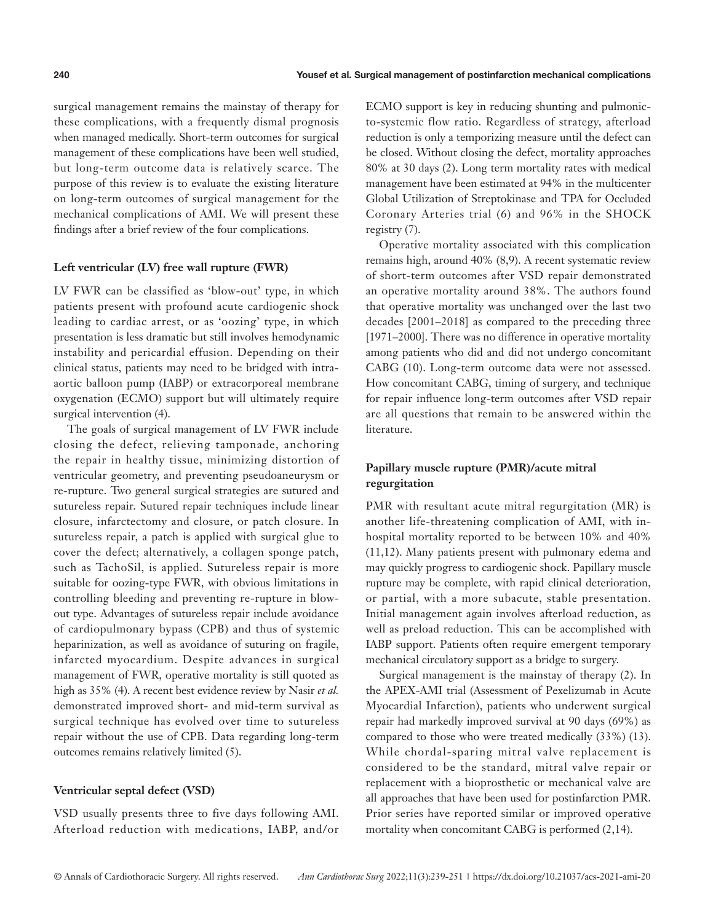surgical management remains the mainstay of therapy for these complications, with a frequently dismal prognosis when managed medically. Short-term outcomes for surgical management of these complications have been well studied, but long-term outcome data is relatively scarce. The purpose of this review is to evaluate the existing literature on long-term outcomes of surgical management for the mechanical complications of AMI. We will present these findings after a brief review of the four complications.

# **Left ventricular (LV) free wall rupture (FWR)**

LV FWR can be classified as 'blow-out' type, in which patients present with profound acute cardiogenic shock leading to cardiac arrest, or as 'oozing' type, in which presentation is less dramatic but still involves hemodynamic instability and pericardial effusion. Depending on their clinical status, patients may need to be bridged with intraaortic balloon pump (IABP) or extracorporeal membrane oxygenation (ECMO) support but will ultimately require surgical intervention (4).

The goals of surgical management of LV FWR include closing the defect, relieving tamponade, anchoring the repair in healthy tissue, minimizing distortion of ventricular geometry, and preventing pseudoaneurysm or re-rupture. Two general surgical strategies are sutured and sutureless repair. Sutured repair techniques include linear closure, infarctectomy and closure, or patch closure. In sutureless repair, a patch is applied with surgical glue to cover the defect; alternatively, a collagen sponge patch, such as TachoSil, is applied. Sutureless repair is more suitable for oozing-type FWR, with obvious limitations in controlling bleeding and preventing re-rupture in blowout type. Advantages of sutureless repair include avoidance of cardiopulmonary bypass (CPB) and thus of systemic heparinization, as well as avoidance of suturing on fragile, infarcted myocardium. Despite advances in surgical management of FWR, operative mortality is still quoted as high as 35% (4). A recent best evidence review by Nasir *et al.* demonstrated improved short- and mid-term survival as surgical technique has evolved over time to sutureless repair without the use of CPB. Data regarding long-term outcomes remains relatively limited (5).

# **Ventricular septal defect (VSD)**

VSD usually presents three to five days following AMI. Afterload reduction with medications, IABP, and/or

ECMO support is key in reducing shunting and pulmonicto-systemic flow ratio. Regardless of strategy, afterload reduction is only a temporizing measure until the defect can be closed. Without closing the defect, mortality approaches 80% at 30 days (2). Long term mortality rates with medical management have been estimated at 94% in the multicenter Global Utilization of Streptokinase and TPA for Occluded Coronary Arteries trial (6) and 96% in the SHOCK registry (7).

Operative mortality associated with this complication remains high, around 40% (8,9). A recent systematic review of short-term outcomes after VSD repair demonstrated an operative mortality around 38%. The authors found that operative mortality was unchanged over the last two decades [2001–2018] as compared to the preceding three [1971–2000]. There was no difference in operative mortality among patients who did and did not undergo concomitant CABG (10). Long-term outcome data were not assessed. How concomitant CABG, timing of surgery, and technique for repair influence long-term outcomes after VSD repair are all questions that remain to be answered within the literature.

# **Papillary muscle rupture (PMR)/acute mitral regurgitation**

PMR with resultant acute mitral regurgitation (MR) is another life-threatening complication of AMI, with inhospital mortality reported to be between 10% and 40% (11,12). Many patients present with pulmonary edema and may quickly progress to cardiogenic shock. Papillary muscle rupture may be complete, with rapid clinical deterioration, or partial, with a more subacute, stable presentation. Initial management again involves afterload reduction, as well as preload reduction. This can be accomplished with IABP support. Patients often require emergent temporary mechanical circulatory support as a bridge to surgery.

Surgical management is the mainstay of therapy (2). In the APEX-AMI trial (Assessment of Pexelizumab in Acute Myocardial Infarction), patients who underwent surgical repair had markedly improved survival at 90 days (69%) as compared to those who were treated medically (33%) (13). While chordal-sparing mitral valve replacement is considered to be the standard, mitral valve repair or replacement with a bioprosthetic or mechanical valve are all approaches that have been used for postinfarction PMR. Prior series have reported similar or improved operative mortality when concomitant CABG is performed (2,14).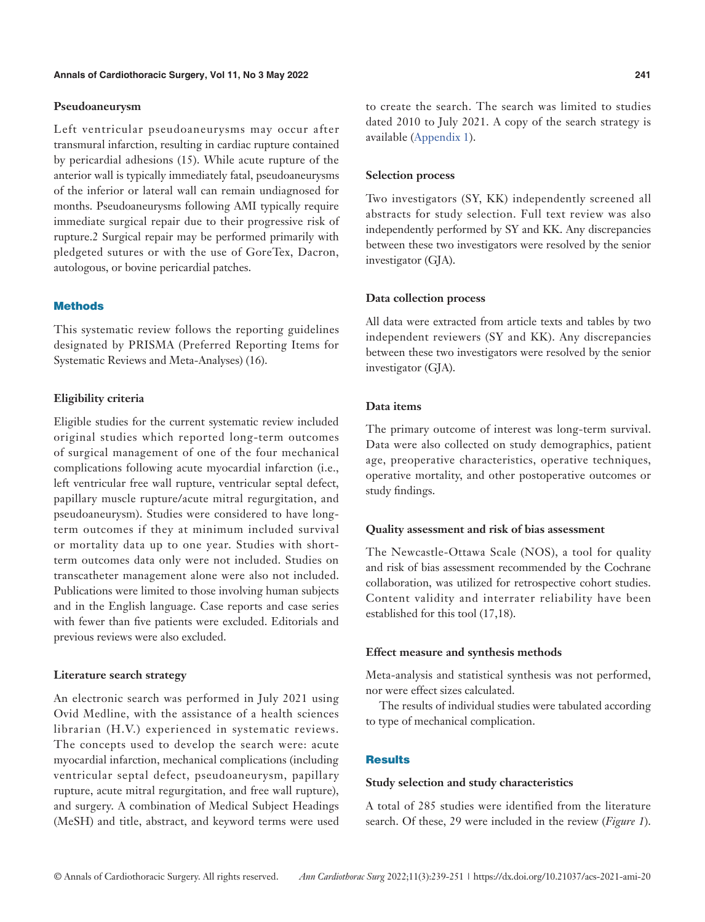# **Pseudoaneurysm**

Left ventricular pseudoaneurysms may occur after transmural infarction, resulting in cardiac rupture contained by pericardial adhesions (15). While acute rupture of the anterior wall is typically immediately fatal, pseudoaneurysms of the inferior or lateral wall can remain undiagnosed for months. Pseudoaneurysms following AMI typically require immediate surgical repair due to their progressive risk of rupture.2 Surgical repair may be performed primarily with pledgeted sutures or with the use of GoreTex, Dacron, autologous, or bovine pericardial patches.

# **Methods**

This systematic review follows the reporting guidelines designated by PRISMA (Preferred Reporting Items for Systematic Reviews and Meta-Analyses) (16).

# **Eligibility criteria**

Eligible studies for the current systematic review included original studies which reported long-term outcomes of surgical management of one of the four mechanical complications following acute myocardial infarction (i.e., left ventricular free wall rupture, ventricular septal defect, papillary muscle rupture/acute mitral regurgitation, and pseudoaneurysm). Studies were considered to have longterm outcomes if they at minimum included survival or mortality data up to one year. Studies with shortterm outcomes data only were not included. Studies on transcatheter management alone were also not included. Publications were limited to those involving human subjects and in the English language. Case reports and case series with fewer than five patients were excluded. Editorials and previous reviews were also excluded.

# **Literature search strategy**

An electronic search was performed in July 2021 using Ovid Medline, with the assistance of a health sciences librarian (H.V.) experienced in systematic reviews. The concepts used to develop the search were: acute myocardial infarction, mechanical complications (including ventricular septal defect, pseudoaneurysm, papillary rupture, acute mitral regurgitation, and free wall rupture), and surgery. A combination of Medical Subject Headings (MeSH) and title, abstract, and keyword terms were used

to create the search. The search was limited to studies dated 2010 to July 2021. A copy of the search strategy is available ([Appendix 1](https://cdn.amegroups.cn/static/public/ACS-2021-AMI-20-Supplementary.pdf)).

#### **Selection process**

Two investigators (SY, KK) independently screened all abstracts for study selection. Full text review was also independently performed by SY and KK. Any discrepancies between these two investigators were resolved by the senior investigator (GJA).

# **Data collection process**

All data were extracted from article texts and tables by two independent reviewers (SY and KK). Any discrepancies between these two investigators were resolved by the senior investigator (GJA).

# **Data items**

The primary outcome of interest was long-term survival. Data were also collected on study demographics, patient age, preoperative characteristics, operative techniques, operative mortality, and other postoperative outcomes or study findings.

# **Quality assessment and risk of bias assessment**

The Newcastle-Ottawa Scale (NOS), a tool for quality and risk of bias assessment recommended by the Cochrane collaboration, was utilized for retrospective cohort studies. Content validity and interrater reliability have been established for this tool (17,18).

# **Effect measure and synthesis methods**

Meta-analysis and statistical synthesis was not performed, nor were effect sizes calculated.

The results of individual studies were tabulated according to type of mechanical complication.

# **Results**

# **Study selection and study characteristics**

A total of 285 studies were identified from the literature search. Of these, 29 were included in the review (*Figure 1*).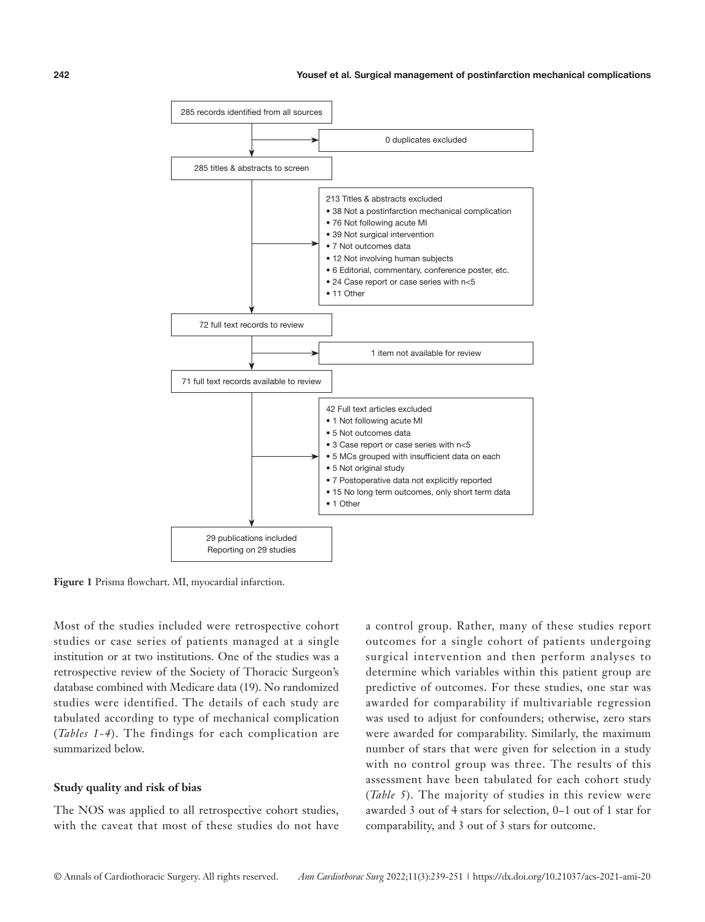

Figure 1 Prisma flowchart. MI, myocardial infarction.

Most of the studies included were retrospective cohort studies or case series of patients managed at a single institution or at two institutions. One of the studies was a retrospective review of the Society of Thoracic Surgeon's database combined with Medicare data (19). No randomized studies were identified. The details of each study are tabulated according to type of mechanical complication (*Tables 1-4*). The findings for each complication are summarized below.

# **Study quality and risk of bias**

The NOS was applied to all retrospective cohort studies, with the caveat that most of these studies do not have a control group. Rather, many of these studies report outcomes for a single cohort of patients undergoing surgical intervention and then perform analyses to determine which variables within this patient group are predictive of outcomes. For these studies, one star was awarded for comparability if multivariable regression was used to adjust for confounders; otherwise, zero stars were awarded for comparability. Similarly, the maximum number of stars that were given for selection in a study with no control group was three. The results of this assessment have been tabulated for each cohort study (*Table 5*). The majority of studies in this review were awarded 3 out of 4 stars for selection, 0−1 out of 1 star for comparability, and 3 out of 3 stars for outcome.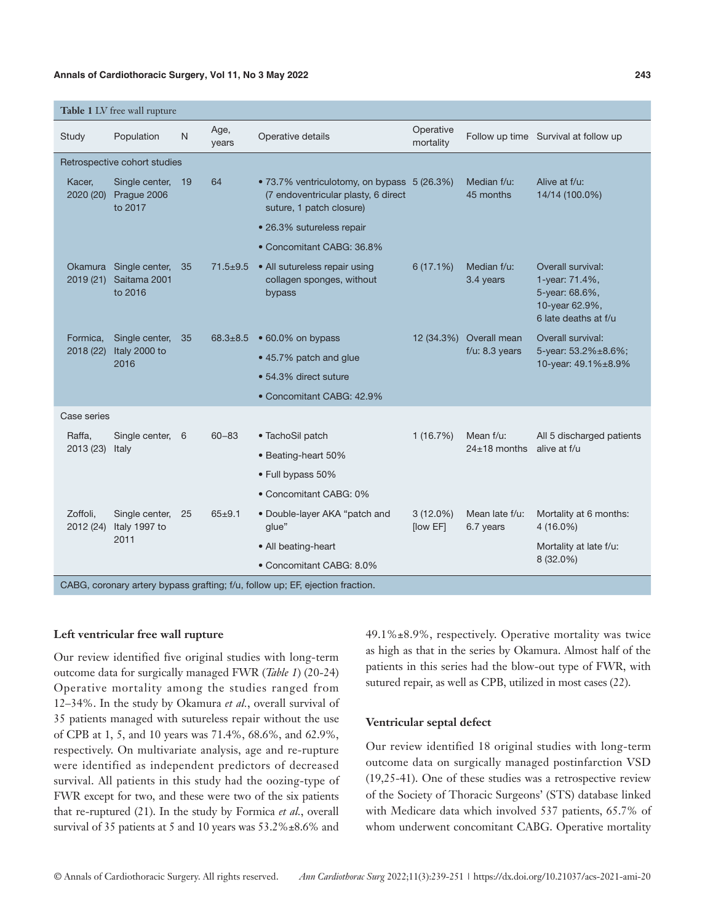# **Annals of Cardiothoracic Surgery, Vol 11, No 3 May 2022 243**

|                       | Table 1 LV free wall rupture                                                  |              |                |                                                                                                                |                         |                             |                                                                                                 |
|-----------------------|-------------------------------------------------------------------------------|--------------|----------------|----------------------------------------------------------------------------------------------------------------|-------------------------|-----------------------------|-------------------------------------------------------------------------------------------------|
| Study                 | Population                                                                    | $\mathsf{N}$ | Age,<br>years  | Operative details                                                                                              | Operative<br>mortality  |                             | Follow up time Survival at follow up                                                            |
|                       | Retrospective cohort studies                                                  |              |                |                                                                                                                |                         |                             |                                                                                                 |
| Kacer,<br>2020 (20)   | Single center,<br>Prague 2006<br>to 2017                                      | $-19$        | 64             | • 73.7% ventriculotomy, on bypass 5 (26.3%)<br>(7 endoventricular plasty, 6 direct<br>suture, 1 patch closure) |                         | Median f/u:<br>45 months    | Alive at f/u:<br>14/14 (100.0%)                                                                 |
|                       |                                                                               |              |                | • 26.3% sutureless repair                                                                                      |                         |                             |                                                                                                 |
|                       |                                                                               |              |                | • Concomitant CABG: 36.8%                                                                                      |                         |                             |                                                                                                 |
| 2019(21)              | Okamura Single center,<br>Saitama 2001<br>to 2016                             | 35           | $71.5 \pm 9.5$ | • All sutureless repair using<br>collagen sponges, without<br>bypass                                           | 6(17.1%)                | Median f/u:<br>3.4 years    | Overall survival:<br>1-year: 71.4%,<br>5-year: 68.6%,<br>10-year 62.9%,<br>6 late deaths at f/u |
| Formica,              | Single center,                                                                | 35           | $68.3 \pm 8.5$ | • 60.0% on bypass                                                                                              | 12 (34.3%)              | Overall mean                | Overall survival:                                                                               |
| 2018 (22)             | Italy 2000 to<br>2016                                                         |              |                | • 45.7% patch and glue                                                                                         |                         | $f/u$ : 8.3 years           | 5-year: 53.2%±8.6%;<br>10-year: 49.1%±8.9%                                                      |
|                       |                                                                               |              |                | • 54.3% direct suture                                                                                          |                         |                             |                                                                                                 |
|                       |                                                                               |              |                | • Concomitant CABG: 42.9%                                                                                      |                         |                             |                                                                                                 |
| Case series           |                                                                               |              |                |                                                                                                                |                         |                             |                                                                                                 |
| Raffa,                | Single center, 6                                                              |              | $60 - 83$      | • TachoSil patch                                                                                               | 1(16.7%)                | Mean $f/u$ :                | All 5 discharged patients                                                                       |
| 2013 (23)             | Italy                                                                         |              |                | • Beating-heart 50%                                                                                            |                         | $24\pm18$ months            | alive at f/u                                                                                    |
|                       |                                                                               |              |                | • Full bypass 50%                                                                                              |                         |                             |                                                                                                 |
|                       |                                                                               |              |                | • Concomitant CABG: 0%                                                                                         |                         |                             |                                                                                                 |
| Zoffoli,<br>2012 (24) | Single center,<br>Italy 1997 to                                               | 25           | $65 + 9.1$     | • Double-layer AKA "patch and<br>qlue"                                                                         | $3(12.0\%)$<br>[low EF] | Mean late f/u:<br>6.7 years | Mortality at 6 months:<br>$4(16.0\%)$                                                           |
|                       | 2011                                                                          |              |                | • All beating-heart                                                                                            |                         |                             | Mortality at late f/u:                                                                          |
|                       |                                                                               |              |                | • Concomitant CABG: 8.0%                                                                                       |                         |                             | 8 (32.0%)                                                                                       |
|                       | CABG, coronary artery bypass grafting; f/u, follow up; EF, ejection fraction. |              |                |                                                                                                                |                         |                             |                                                                                                 |

**Left ventricular free wall rupture**

Our review identified five original studies with long-term outcome data for surgically managed FWR (*Table 1*) (20-24) Operative mortality among the studies ranged from 12–34%. In the study by Okamura *et al.*, overall survival of 35 patients managed with sutureless repair without the use of CPB at 1, 5, and 10 years was 71.4%, 68.6%, and 62.9%, respectively. On multivariate analysis, age and re-rupture were identified as independent predictors of decreased survival. All patients in this study had the oozing-type of FWR except for two, and these were two of the six patients that re-ruptured (21). In the study by Formica *et al.*, overall survival of 35 patients at 5 and 10 years was 53.2%±8.6% and

49.1%±8.9%, respectively. Operative mortality was twice as high as that in the series by Okamura. Almost half of the patients in this series had the blow-out type of FWR, with sutured repair, as well as CPB, utilized in most cases (22).

#### **Ventricular septal defect**

Our review identified 18 original studies with long-term outcome data on surgically managed postinfarction VSD (19,25-41). One of these studies was a retrospective review of the Society of Thoracic Surgeons' (STS) database linked with Medicare data which involved 537 patients, 65.7% of whom underwent concomitant CABG. Operative mortality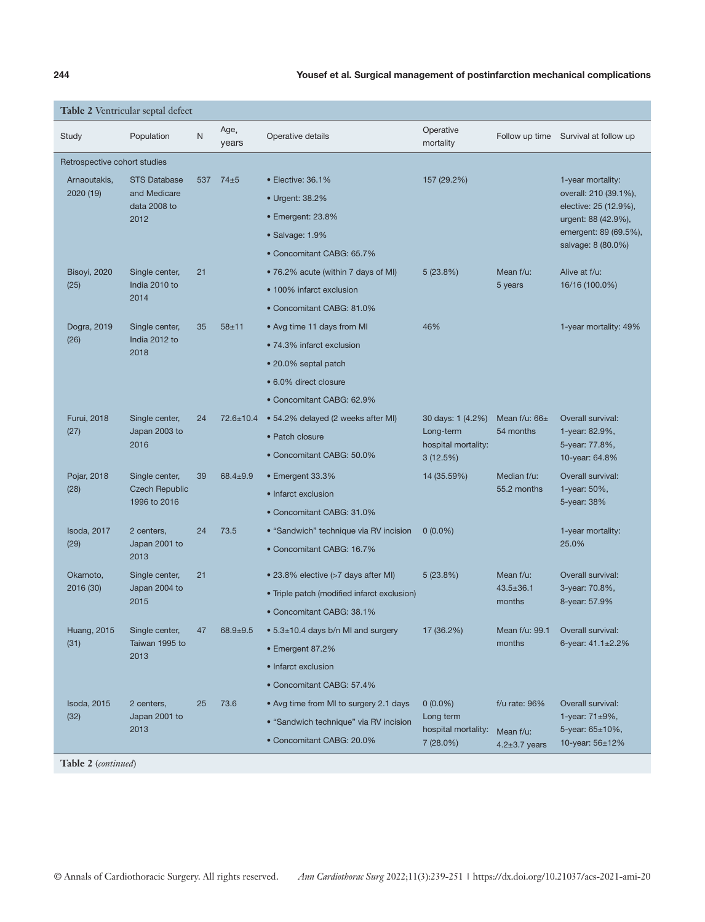# **244** Yousef et al. Surgical management of postinfarction mechanical complications

|                              | Table 2 Ventricular septal defect               |           |                 |                                                  |                                                                   |                                    |                                                                         |
|------------------------------|-------------------------------------------------|-----------|-----------------|--------------------------------------------------|-------------------------------------------------------------------|------------------------------------|-------------------------------------------------------------------------|
| Study                        | Population                                      | ${\sf N}$ | Age,<br>years   | Operative details                                | Operative<br>mortality                                            | Follow up time                     | Survival at follow up                                                   |
| Retrospective cohort studies |                                                 |           |                 |                                                  |                                                                   |                                    |                                                                         |
| Arnaoutakis,                 | <b>STS Database</b>                             | 537       | $74 \pm 5$      | • Elective: 36.1%                                | 157 (29.2%)                                                       |                                    | 1-year mortality:                                                       |
| 2020 (19)                    | and Medicare<br>data 2008 to                    |           |                 | • Urgent: 38.2%                                  |                                                                   |                                    | overall: 210 (39.1%),<br>elective: 25 (12.9%),                          |
|                              | 2012                                            |           |                 | • Emergent: 23.8%                                |                                                                   |                                    | urgent: 88 (42.9%),                                                     |
|                              |                                                 |           |                 | • Salvage: 1.9%                                  |                                                                   |                                    | emergent: 89 (69.5%),                                                   |
|                              |                                                 |           |                 | • Concomitant CABG: 65.7%                        |                                                                   |                                    | salvage: 8 (80.0%)                                                      |
| Bisoyi, 2020                 | Single center,                                  | 21        |                 | • 76.2% acute (within 7 days of MI)              | 5(23.8%)                                                          | Mean f/u:                          | Alive at f/u:                                                           |
| (25)                         | India 2010 to<br>2014                           |           |                 | • 100% infarct exclusion                         |                                                                   | 5 years                            | 16/16 (100.0%)                                                          |
|                              |                                                 |           |                 | • Concomitant CABG: 81.0%                        |                                                                   |                                    |                                                                         |
| Dogra, 2019                  | Single center,                                  | 35        | $58 + 11$       | • Avg time 11 days from MI                       | 46%                                                               |                                    | 1-year mortality: 49%                                                   |
| (26)                         | India 2012 to<br>2018                           |           |                 | • 74.3% infarct exclusion                        |                                                                   |                                    |                                                                         |
|                              |                                                 |           |                 | • 20.0% septal patch                             |                                                                   |                                    |                                                                         |
|                              |                                                 |           |                 | • 6.0% direct closure                            |                                                                   |                                    |                                                                         |
|                              |                                                 |           |                 | • Concomitant CABG: 62.9%                        |                                                                   |                                    |                                                                         |
| Furui, 2018                  | Single center,<br>Japan 2003 to<br>(27)<br>2016 | 24        | $72.6 \pm 10.4$ | • 54.2% delayed (2 weeks after MI)               | 30 days: 1 (4.2%)<br>Long-term<br>hospital mortality:<br>3(12.5%) | Mean $f/u$ : 66 $\pm$<br>54 months | Overall survival:<br>1-year: 82.9%,<br>5-year: 77.8%,<br>10-year: 64.8% |
|                              |                                                 |           |                 | • Patch closure                                  |                                                                   |                                    |                                                                         |
|                              |                                                 |           |                 | • Concomitant CABG: 50.0%                        |                                                                   |                                    |                                                                         |
| Pojar, 2018                  | Single center,                                  | 39        | $68.4 \pm 9.9$  | • Emergent 33.3%                                 | 14 (35.59%)                                                       | Median f/u:<br>55.2 months         | Overall survival:<br>1-year: 50%,<br>5-year: 38%                        |
| (28)                         | <b>Czech Republic</b><br>1996 to 2016           |           |                 | • Infarct exclusion                              |                                                                   |                                    |                                                                         |
|                              |                                                 |           |                 | • Concomitant CABG: 31.0%                        |                                                                   |                                    |                                                                         |
| <b>Isoda, 2017</b>           | 2 centers,                                      | 24        | 73.5            | • "Sandwich" technique via RV incision           | $0(0.0\%)$                                                        |                                    | 1-year mortality:<br>25.0%                                              |
| (29)                         | Japan 2001 to<br>2013                           |           |                 | • Concomitant CABG: 16.7%                        |                                                                   |                                    |                                                                         |
| Okamoto,                     | Single center,                                  | 21        |                 | • 23.8% elective (>7 days after MI)              | 5(23.8%)                                                          | Mean f/u:                          | Overall survival:                                                       |
| 2016 (30)                    | Japan 2004 to<br>2015                           |           |                 | • Triple patch (modified infarct exclusion)      |                                                                   | $43.5 \pm 36.1$<br>months          | 3-year: 70.8%,<br>8-year: 57.9%                                         |
|                              |                                                 |           |                 | • Concomitant CABG: 38.1%                        |                                                                   |                                    |                                                                         |
| <b>Huang, 2015</b>           | Single center,                                  |           | 47 68.9±9.5     | $\bullet$ 5.3 $\pm$ 10.4 days b/n MI and surgery | 17 (36.2%)                                                        | Mean f/u: 99.1                     | Overall survival:                                                       |
| (31)                         | Taiwan 1995 to<br>2013                          |           |                 | • Emergent 87.2%                                 |                                                                   | months                             | 6-year: $41.1 \pm 2.2\%$                                                |
|                              |                                                 |           |                 | • Infarct exclusion                              |                                                                   |                                    |                                                                         |
|                              |                                                 |           |                 | • Concomitant CABG: 57.4%                        |                                                                   |                                    |                                                                         |
| Isoda, 2015                  | 2 centers,                                      | 25        | 73.6            | • Avg time from MI to surgery 2.1 days           | $0(0.0\%)$                                                        | f/u rate: 96%                      | Overall survival:                                                       |
| (32)                         | Japan 2001 to<br>2013                           |           |                 | • "Sandwich technique" via RV incision           | Long term<br>hospital mortality:                                  | Mean f/u:                          | 1-year: $71\pm9\%$ ,<br>5-year: 65±10%,                                 |
|                              |                                                 |           |                 | • Concomitant CABG: 20.0%                        | 7(28.0%)                                                          | $4.2 \pm 3.7$ years                | 10-year: 56±12%                                                         |

**Table 2** (*continued*)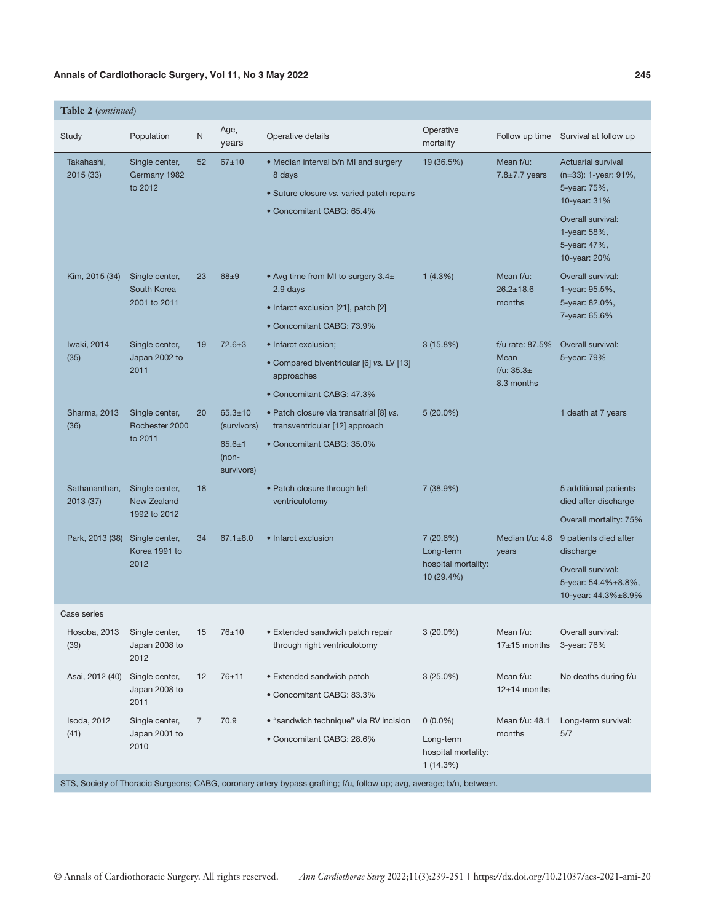# Annals of Cardiothoracic Surgery, Vol 11, No 3 May 2022 **245** 245

| Table 2 (continued) |  |
|---------------------|--|
|---------------------|--|

| Study                      | Population                                | N              | Age,<br>years                       | Operative details                                                                                                     | Operative<br>mortality                       | Follow up time                       | Survival at follow up                                                             |
|----------------------------|-------------------------------------------|----------------|-------------------------------------|-----------------------------------------------------------------------------------------------------------------------|----------------------------------------------|--------------------------------------|-----------------------------------------------------------------------------------|
| Takahashi,<br>2015 (33)    | Single center,<br>Germany 1982<br>to 2012 | 52             | $67 + 10$                           | • Median interval b/n MI and surgery<br>8 days<br>• Suture closure vs. varied patch repairs                           | 19 (36.5%)                                   | Mean f/u:<br>$7.8 \pm 7.7$ years     | <b>Actuarial survival</b><br>(n=33): 1-year: 91%,<br>5-year: 75%,<br>10-year: 31% |
|                            |                                           |                |                                     | • Concomitant CABG: 65.4%                                                                                             |                                              |                                      | Overall survival:<br>1-year: 58%,<br>5-year: 47%,<br>10-year: 20%                 |
| Kim, 2015 (34)             | Single center,<br>South Korea             | 23             | $68 + 9$                            | • Avg time from MI to surgery $3.4\pm$<br>2.9 days                                                                    | 1(4.3%)                                      | Mean f/u:<br>$26.2 \pm 18.6$         | Overall survival:<br>1-year: 95.5%,                                               |
|                            | 2001 to 2011                              |                |                                     | • Infarct exclusion [21], patch [2]                                                                                   |                                              | months                               | 5-year: 82.0%,<br>7-year: 65.6%                                                   |
|                            |                                           |                |                                     | • Concomitant CABG: 73.9%                                                                                             |                                              |                                      |                                                                                   |
| Iwaki, 2014                | Single center,                            | 19             | $72.6 \pm 3$                        | • Infarct exclusion;                                                                                                  | 3(15.8%)                                     | f/u rate: 87.5%                      | Overall survival:                                                                 |
| (35)                       | Japan 2002 to<br>2011                     |                |                                     | • Compared biventricular [6] vs. LV [13]<br>approaches                                                                |                                              | Mean<br>f/u: $35.3\pm$<br>8.3 months | 5-year: 79%                                                                       |
|                            |                                           |                |                                     | • Concomitant CABG: 47.3%                                                                                             |                                              |                                      |                                                                                   |
| Sharma, 2013<br>(36)       | Single center,<br>Rochester 2000          | 20             | $65.3 \pm 10$<br>(survivors)        | · Patch closure via transatrial [8] vs.<br>transventricular [12] approach                                             | $5(20.0\%)$                                  |                                      | 1 death at 7 years                                                                |
|                            | to 2011                                   |                | $65.6 \pm 1$<br>(non-<br>survivors) | • Concomitant CABG: 35.0%                                                                                             |                                              |                                      |                                                                                   |
| Sathananthan,<br>2013 (37) | Single center,<br><b>New Zealand</b>      | 18             |                                     | • Patch closure through left<br>ventriculotomy                                                                        | 7 (38.9%)                                    |                                      | 5 additional patients<br>died after discharge                                     |
|                            | 1992 to 2012                              |                |                                     |                                                                                                                       |                                              |                                      | Overall mortality: 75%                                                            |
| Park, 2013 (38)            | Single center,<br>Korea 1991 to           | 34             | $67.1 \pm 8.0$                      | • Infarct exclusion                                                                                                   | 7(20.6%)<br>Long-term                        | Median f/u: 4.8<br>years             | 9 patients died after<br>discharge                                                |
|                            | 2012                                      |                |                                     |                                                                                                                       | hospital mortality:<br>10 (29.4%)            |                                      | Overall survival:<br>5-year: 54.4%±8.8%,<br>10-year: 44.3%±8.9%                   |
| Case series                |                                           |                |                                     |                                                                                                                       |                                              |                                      |                                                                                   |
| Hosoba, 2013<br>(39)       | Single center,<br>Japan 2008 to<br>2012   | 15             | 76±10                               | • Extended sandwich patch repair<br>through right ventriculotomy                                                      | $3(20.0\%)$                                  | Mean f/u:<br>$17\pm15$ months        | Overall survival:<br>3-year: 76%                                                  |
| Asai, 2012 (40)            | Single center,                            | 12             | 76±11                               | • Extended sandwich patch                                                                                             | $3(25.0\%)$                                  | Mean f/u:                            | No deaths during f/u                                                              |
|                            | Japan 2008 to<br>2011                     |                |                                     | • Concomitant CABG: 83.3%                                                                                             |                                              | $12±14$ months                       |                                                                                   |
| Isoda, 2012                | Single center,                            | $\overline{7}$ | 70.9                                | • "sandwich technique" via RV incision                                                                                | $0(0.0\%)$                                   | Mean f/u: 48.1                       | Long-term survival:                                                               |
| (41)                       | Japan 2001 to<br>2010                     |                |                                     | • Concomitant CABG: 28.6%                                                                                             | Long-term<br>hospital mortality:<br>1(14.3%) | months                               | 5/7                                                                               |
|                            |                                           |                |                                     | STS, Society of Thoracic Surgeons; CABG, coronary artery bypass grafting; f/u, follow up; avg, average; b/n, between. |                                              |                                      |                                                                                   |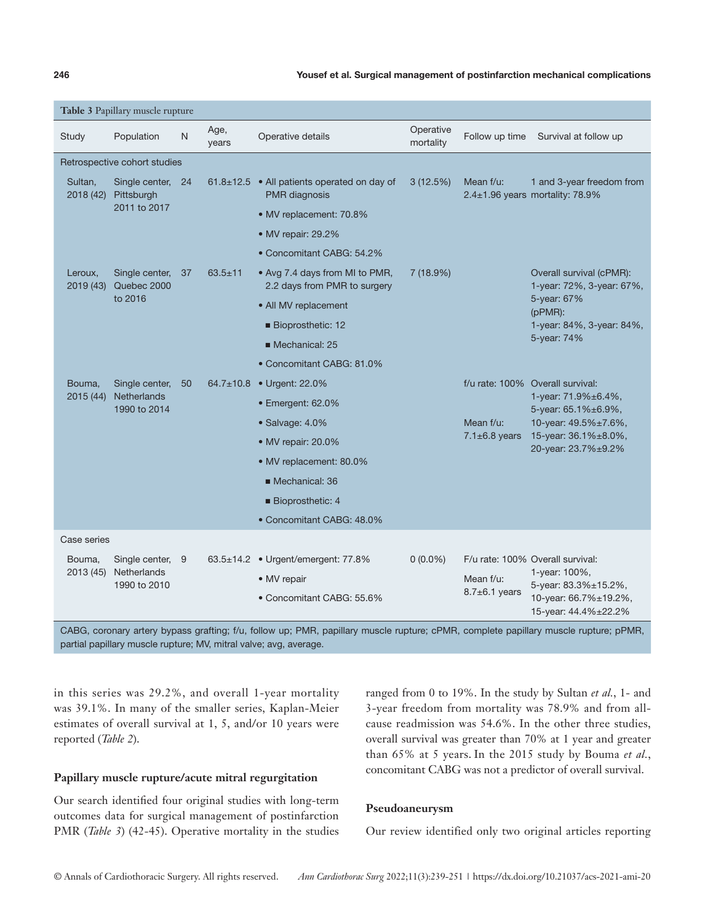## **246** Yousef et al. Surgical management of postinfarction mechanical complications

|                      | Table 3 Papillary muscle rupture                |    |                 |                                                                                |                        |                                |                                                                                                                                                       |
|----------------------|-------------------------------------------------|----|-----------------|--------------------------------------------------------------------------------|------------------------|--------------------------------|-------------------------------------------------------------------------------------------------------------------------------------------------------|
| Study                | Population                                      | N  | Age,<br>years   | Operative details                                                              | Operative<br>mortality | Follow up time                 | Survival at follow up                                                                                                                                 |
|                      | Retrospective cohort studies                    |    |                 |                                                                                |                        |                                |                                                                                                                                                       |
| Sultan.              | Single center, 24<br>2018 (42) Pittsburgh       |    |                 | 61.8 $\pm$ 12.5 • All patients operated on day of<br><b>PMR</b> diagnosis      | 3(12.5%)               | Mean $f/u$ :                   | 1 and 3-year freedom from<br>2.4±1.96 years mortality: 78.9%                                                                                          |
|                      | 2011 to 2017                                    |    |                 | • MV replacement: 70.8%                                                        |                        |                                |                                                                                                                                                       |
|                      |                                                 |    |                 | • MV repair: 29.2%                                                             |                        |                                |                                                                                                                                                       |
|                      |                                                 |    |                 | • Concomitant CABG: 54.2%                                                      |                        |                                |                                                                                                                                                       |
| Leroux,<br>2019 (43) | Single center,<br>Quebec 2000<br>to 2016        | 37 | $63.5 \pm 11$   | • Avg 7.4 days from MI to PMR,<br>2.2 days from PMR to surgery                 | 7(18.9%)               |                                | Overall survival (cPMR):<br>1-year: 72%, 3-year: 67%,                                                                                                 |
|                      |                                                 |    |                 | • All MV replacement                                                           |                        |                                | 5-year: 67%<br>$(pPMR)$ :<br>1-year: 84%, 3-year: 84%,                                                                                                |
|                      |                                                 |    |                 | Bioprosthetic: 12                                                              |                        |                                |                                                                                                                                                       |
|                      |                                                 |    |                 | Mechanical: 25                                                                 |                        |                                | 5-year: 74%                                                                                                                                           |
|                      |                                                 |    |                 | • Concomitant CABG: 81.0%                                                      |                        |                                |                                                                                                                                                       |
| Bouma,<br>2015 (44)  | Single center,<br>Netherlands<br>1990 to 2014   | 50 | $64.7 \pm 10.8$ | • Urgent: 22.0%                                                                |                        |                                | f/u rate: 100% Overall survival:<br>1-year: 71.9%±6.4%,<br>5-year: 65.1%±6.9%,<br>10-year: 49.5%±7.6%,<br>15-year: 36.1%±8.0%,<br>20-year: 23.7%±9.2% |
|                      |                                                 |    |                 | • Emergent: 62.0%                                                              |                        |                                |                                                                                                                                                       |
|                      |                                                 |    |                 | · Salvage: 4.0%                                                                |                        | Mean f/u:                      |                                                                                                                                                       |
|                      |                                                 |    |                 | • MV repair: 20.0%                                                             |                        | $7.1\pm6.8$ years              |                                                                                                                                                       |
|                      |                                                 |    |                 | • MV replacement: 80.0%                                                        |                        |                                |                                                                                                                                                       |
|                      |                                                 |    |                 | Mechanical: 36                                                                 |                        |                                |                                                                                                                                                       |
|                      |                                                 |    |                 | Bioprosthetic: 4                                                               |                        |                                |                                                                                                                                                       |
|                      |                                                 |    |                 | • Concomitant CABG: 48.0%                                                      |                        |                                |                                                                                                                                                       |
| Case series          |                                                 |    |                 |                                                                                |                        |                                |                                                                                                                                                       |
| Bouma,<br>2013 (45)  | Single center, 9<br>Netherlands<br>1990 to 2010 |    |                 | 63.5±14.2 • Urgent/emergent: 77.8%<br>• MV repair<br>• Concomitant CABG: 55.6% | $0(0.0\%)$             | Mean f/u:<br>$8.7\pm6.1$ years | F/u rate: 100% Overall survival:<br>1-year: 100%,<br>5-year: 83.3%±15.2%,<br>10-year: 66.7%±19.2%,<br>15-year: 44.4%±22.2%                            |

CABG, coronary artery bypass grafting; f/u, follow up; PMR, papillary muscle rupture; cPMR, complete papillary muscle rupture; pPMR, partial papillary muscle rupture; MV, mitral valve; avg, average.

in this series was 29.2%, and overall 1-year mortality was 39.1%. In many of the smaller series, Kaplan-Meier estimates of overall survival at 1, 5, and/or 10 years were reported (*Table 2*).

# **Papillary muscle rupture/acute mitral regurgitation**

Our search identified four original studies with long-term outcomes data for surgical management of postinfarction PMR (*Table 3*) (42-45). Operative mortality in the studies

ranged from 0 to 19%. In the study by Sultan *et al.*, 1- and 3-year freedom from mortality was 78.9% and from allcause readmission was 54.6%. In the other three studies, overall survival was greater than 70% at 1 year and greater than 65% at 5 years. In the 2015 study by Bouma *et al.*, concomitant CABG was not a predictor of overall survival.

# **Pseudoaneurysm**

Our review identified only two original articles reporting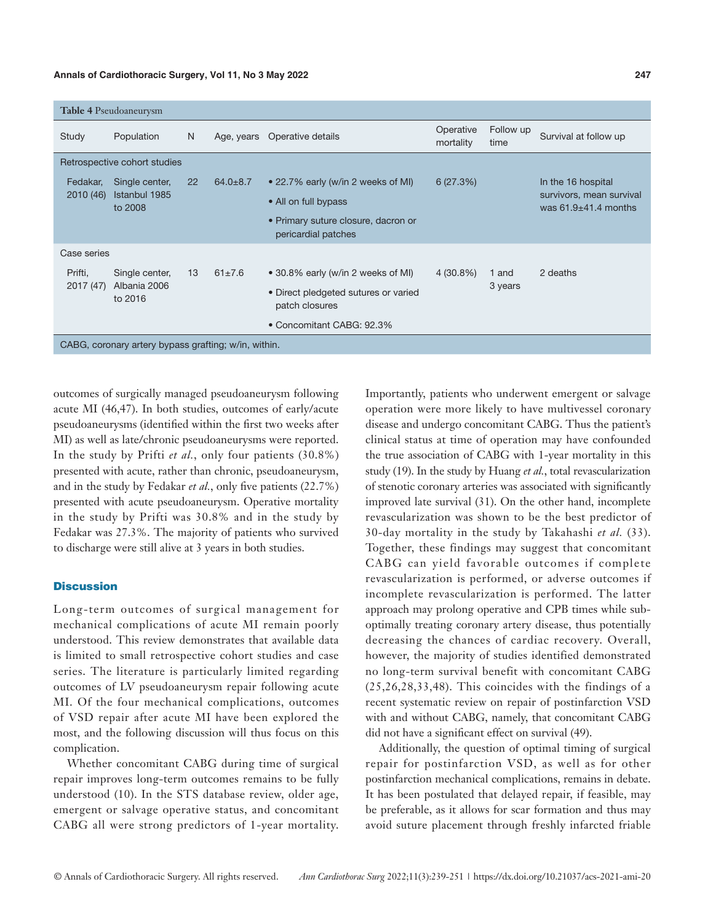#### **Annals of Cardiothoracic Surgery, Vol 11, No 3 May 2022 247**

|                       | Table 4 Pseudoaneurysm                               |                   |                |                                                                                                                           |                        |                   |                                                                            |
|-----------------------|------------------------------------------------------|-------------------|----------------|---------------------------------------------------------------------------------------------------------------------------|------------------------|-------------------|----------------------------------------------------------------------------|
| Study                 | Population                                           | N.                | Age, years     | Operative details                                                                                                         | Operative<br>mortality | Follow up<br>time | Survival at follow up                                                      |
|                       | Retrospective cohort studies                         |                   |                |                                                                                                                           |                        |                   |                                                                            |
| Fedakar,<br>2010 (46) | Single center,<br>Istanbul 1985<br>to 2008           | $22 \overline{ }$ | $64.0 \pm 8.7$ | • 22.7% early (w/in 2 weeks of MI)<br>• All on full bypass<br>• Primary suture closure, dacron or<br>pericardial patches  | 6(27.3%)               |                   | In the 16 hospital<br>survivors, mean survival<br>was $61.9\pm41.4$ months |
| Case series           |                                                      |                   |                |                                                                                                                           |                        |                   |                                                                            |
| Prifti,<br>2017 (47)  | Single center,<br>Albania 2006<br>to 2016            | 13                | $61\pm7.6$     | • 30.8% early (w/in 2 weeks of MI)<br>• Direct pledgeted sutures or varied<br>patch closures<br>• Concomitant CABG: 92.3% | $4(30.8\%)$            | 1 and<br>3 years  | 2 deaths                                                                   |
|                       | CABG, coronary artery bypass grafting; w/in, within. |                   |                |                                                                                                                           |                        |                   |                                                                            |

outcomes of surgically managed pseudoaneurysm following acute MI (46,47). In both studies, outcomes of early/acute pseudoaneurysms (identified within the first two weeks after MI) as well as late/chronic pseudoaneurysms were reported. In the study by Prifti *et al.*, only four patients (30.8%) presented with acute, rather than chronic, pseudoaneurysm, and in the study by Fedakar *et al.*, only five patients (22.7%) presented with acute pseudoaneurysm. Operative mortality in the study by Prifti was 30.8% and in the study by Fedakar was 27.3%. The majority of patients who survived to discharge were still alive at 3 years in both studies.

# **Discussion**

Long-term outcomes of surgical management for mechanical complications of acute MI remain poorly understood. This review demonstrates that available data is limited to small retrospective cohort studies and case series. The literature is particularly limited regarding outcomes of LV pseudoaneurysm repair following acute MI. Of the four mechanical complications, outcomes of VSD repair after acute MI have been explored the most, and the following discussion will thus focus on this complication.

Whether concomitant CABG during time of surgical repair improves long-term outcomes remains to be fully understood (10). In the STS database review, older age, emergent or salvage operative status, and concomitant CABG all were strong predictors of 1-year mortality. Importantly, patients who underwent emergent or salvage operation were more likely to have multivessel coronary disease and undergo concomitant CABG. Thus the patient's clinical status at time of operation may have confounded the true association of CABG with 1-year mortality in this study (19). In the study by Huang *et al.*, total revascularization of stenotic coronary arteries was associated with significantly improved late survival (31). On the other hand, incomplete revascularization was shown to be the best predictor of 30-day mortality in the study by Takahashi *et al.* (33). Together, these findings may suggest that concomitant CABG can yield favorable outcomes if complete revascularization is performed, or adverse outcomes if incomplete revascularization is performed. The latter approach may prolong operative and CPB times while suboptimally treating coronary artery disease, thus potentially decreasing the chances of cardiac recovery. Overall, however, the majority of studies identified demonstrated no long-term survival benefit with concomitant CABG (25,26,28,33,48). This coincides with the findings of a recent systematic review on repair of postinfarction VSD with and without CABG, namely, that concomitant CABG did not have a significant effect on survival (49).

Additionally, the question of optimal timing of surgical repair for postinfarction VSD, as well as for other postinfarction mechanical complications, remains in debate. It has been postulated that delayed repair, if feasible, may be preferable, as it allows for scar formation and thus may avoid suture placement through freshly infarcted friable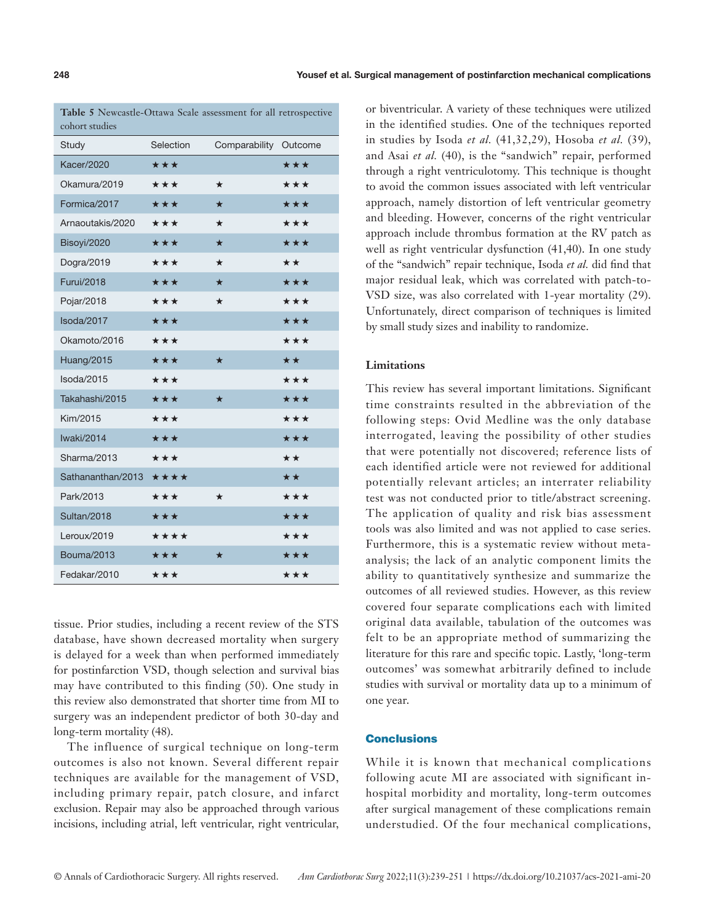**Table 5** Newcastle-Ottawa Scale assessment for all retrospective cohort studies

| Study             | Selection         | Comparability | Outcome |
|-------------------|-------------------|---------------|---------|
| <b>Kacer/2020</b> | $\star\star\star$ |               | ***     |
| Okamura/2019      | ***               | $\star$       | ***     |
| Formica/2017      | ***               | $\star$       | ***     |
| Arnaoutakis/2020  | ***               | $\star$       | ***     |
| Bisoyi/2020       | ***               | $\star$       | ***     |
| Dogra/2019        | ***               | $\star$       | **      |
| <b>Furui/2018</b> | ***               | ★             | ***     |
| Pojar/2018        | ***               | $\star$       | ***     |
| Isoda/2017        | ***               |               | ***     |
| Okamoto/2016      | ***               |               | ***     |
| Huang/2015        | ***               | $\star$       | **      |
| Isoda/2015        | ***               |               | ***     |
| Takahashi/2015    | ***               | $\star$       | ***     |
| Kim/2015          | ***               |               | ***     |
| Iwaki/2014        | ***               |               | ***     |
| Sharma/2013       | ***               |               | **      |
| Sathananthan/2013 | ****              |               | **      |
| Park/2013         | ***               | $\star$       | ***     |
| Sultan/2018       | ***               |               | ***     |
| Leroux/2019       | ****              |               | ***     |
| <b>Bouma/2013</b> | ***               | ★             | ***     |
| Fedakar/2010      | ***               |               | ***     |

tissue. Prior studies, including a recent review of the STS database, have shown decreased mortality when surgery is delayed for a week than when performed immediately for postinfarction VSD, though selection and survival bias may have contributed to this finding (50). One study in this review also demonstrated that shorter time from MI to surgery was an independent predictor of both 30-day and long-term mortality (48).

The influence of surgical technique on long-term outcomes is also not known. Several different repair techniques are available for the management of VSD, including primary repair, patch closure, and infarct exclusion. Repair may also be approached through various incisions, including atrial, left ventricular, right ventricular,

or biventricular. A variety of these techniques were utilized in the identified studies. One of the techniques reported in studies by Isoda *et al.* (41,32,29), Hosoba *et al.* (39), and Asai *et al.* (40), is the "sandwich" repair, performed through a right ventriculotomy. This technique is thought to avoid the common issues associated with left ventricular approach, namely distortion of left ventricular geometry and bleeding. However, concerns of the right ventricular approach include thrombus formation at the RV patch as well as right ventricular dysfunction (41,40). In one study of the "sandwich" repair technique, Isoda *et al.* did find that major residual leak, which was correlated with patch-to-VSD size, was also correlated with 1-year mortality (29). Unfortunately, direct comparison of techniques is limited by small study sizes and inability to randomize.

# **Limitations**

This review has several important limitations. Significant time constraints resulted in the abbreviation of the following steps: Ovid Medline was the only database interrogated, leaving the possibility of other studies that were potentially not discovered; reference lists of each identified article were not reviewed for additional potentially relevant articles; an interrater reliability test was not conducted prior to title/abstract screening. The application of quality and risk bias assessment tools was also limited and was not applied to case series. Furthermore, this is a systematic review without metaanalysis; the lack of an analytic component limits the ability to quantitatively synthesize and summarize the outcomes of all reviewed studies. However, as this review covered four separate complications each with limited original data available, tabulation of the outcomes was felt to be an appropriate method of summarizing the literature for this rare and specific topic. Lastly, 'long-term outcomes' was somewhat arbitrarily defined to include studies with survival or mortality data up to a minimum of one year.

# **Conclusions**

While it is known that mechanical complications following acute MI are associated with significant inhospital morbidity and mortality, long-term outcomes after surgical management of these complications remain understudied. Of the four mechanical complications,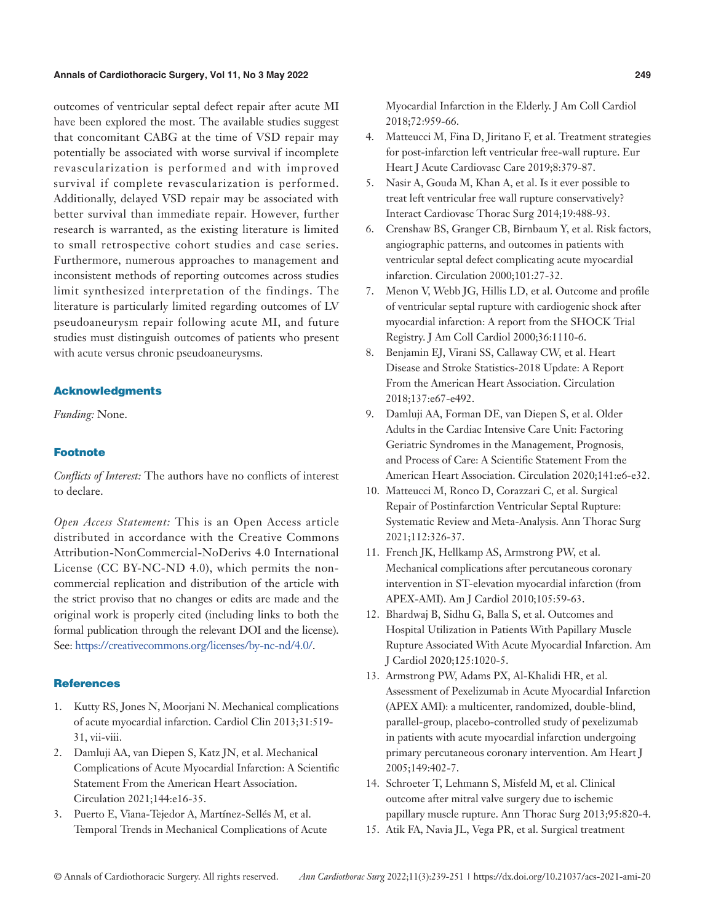# **Annals of Cardiothoracic Surgery, Vol 11, No 3 May 2022 249**

outcomes of ventricular septal defect repair after acute MI have been explored the most. The available studies suggest that concomitant CABG at the time of VSD repair may potentially be associated with worse survival if incomplete revascularization is performed and with improved survival if complete revascularization is performed. Additionally, delayed VSD repair may be associated with better survival than immediate repair. However, further research is warranted, as the existing literature is limited to small retrospective cohort studies and case series. Furthermore, numerous approaches to management and inconsistent methods of reporting outcomes across studies limit synthesized interpretation of the findings. The literature is particularly limited regarding outcomes of LV pseudoaneurysm repair following acute MI, and future studies must distinguish outcomes of patients who present with acute versus chronic pseudoaneurysms.

# Acknowledgments

*Funding:* None.

# Footnote

*Conflicts of Interest:* The authors have no conflicts of interest to declare.

*Open Access Statement:* This is an Open Access article distributed in accordance with the Creative Commons Attribution-NonCommercial-NoDerivs 4.0 International License (CC BY-NC-ND 4.0), which permits the noncommercial replication and distribution of the article with the strict proviso that no changes or edits are made and the original work is properly cited (including links to both the formal publication through the relevant DOI and the license). See: [https://creativecommons.org/licenses/by-nc-nd/4.0/.](https://creativecommons.org/licenses/by-nc-nd/4.0/)

# **References**

- 1. Kutty RS, Jones N, Moorjani N. Mechanical complications of acute myocardial infarction. Cardiol Clin 2013;31:519- 31, vii-viii.
- 2. Damluji AA, van Diepen S, Katz JN, et al. Mechanical Complications of Acute Myocardial Infarction: A Scientific Statement From the American Heart Association. Circulation 2021;144:e16-35.
- 3. Puerto E, Viana-Tejedor A, Martínez-Sellés M, et al. Temporal Trends in Mechanical Complications of Acute

Myocardial Infarction in the Elderly. J Am Coll Cardiol 2018;72:959-66.

- 4. Matteucci M, Fina D, Jiritano F, et al. Treatment strategies for post-infarction left ventricular free-wall rupture. Eur Heart J Acute Cardiovasc Care 2019;8:379-87.
- 5. Nasir A, Gouda M, Khan A, et al. Is it ever possible to treat left ventricular free wall rupture conservatively? Interact Cardiovasc Thorac Surg 2014;19:488-93.
- 6. Crenshaw BS, Granger CB, Birnbaum Y, et al. Risk factors, angiographic patterns, and outcomes in patients with ventricular septal defect complicating acute myocardial infarction. Circulation 2000;101:27-32.
- 7. Menon V, Webb JG, Hillis LD, et al. Outcome and profile of ventricular septal rupture with cardiogenic shock after myocardial infarction: A report from the SHOCK Trial Registry. J Am Coll Cardiol 2000;36:1110-6.
- 8. Benjamin EJ, Virani SS, Callaway CW, et al. Heart Disease and Stroke Statistics-2018 Update: A Report From the American Heart Association. Circulation 2018;137:e67-e492.
- 9. Damluji AA, Forman DE, van Diepen S, et al. Older Adults in the Cardiac Intensive Care Unit: Factoring Geriatric Syndromes in the Management, Prognosis, and Process of Care: A Scientific Statement From the American Heart Association. Circulation 2020;141:e6-e32.
- 10. Matteucci M, Ronco D, Corazzari C, et al. Surgical Repair of Postinfarction Ventricular Septal Rupture: Systematic Review and Meta-Analysis. Ann Thorac Surg 2021;112:326-37.
- 11. French JK, Hellkamp AS, Armstrong PW, et al. Mechanical complications after percutaneous coronary intervention in ST-elevation myocardial infarction (from APEX-AMI). Am J Cardiol 2010;105:59-63.
- 12. Bhardwaj B, Sidhu G, Balla S, et al. Outcomes and Hospital Utilization in Patients With Papillary Muscle Rupture Associated With Acute Myocardial Infarction. Am J Cardiol 2020;125:1020-5.
- 13. Armstrong PW, Adams PX, Al-Khalidi HR, et al. Assessment of Pexelizumab in Acute Myocardial Infarction (APEX AMI): a multicenter, randomized, double-blind, parallel-group, placebo-controlled study of pexelizumab in patients with acute myocardial infarction undergoing primary percutaneous coronary intervention. Am Heart J 2005;149:402-7.
- 14. Schroeter T, Lehmann S, Misfeld M, et al. Clinical outcome after mitral valve surgery due to ischemic papillary muscle rupture. Ann Thorac Surg 2013;95:820-4.
- 15. Atik FA, Navia JL, Vega PR, et al. Surgical treatment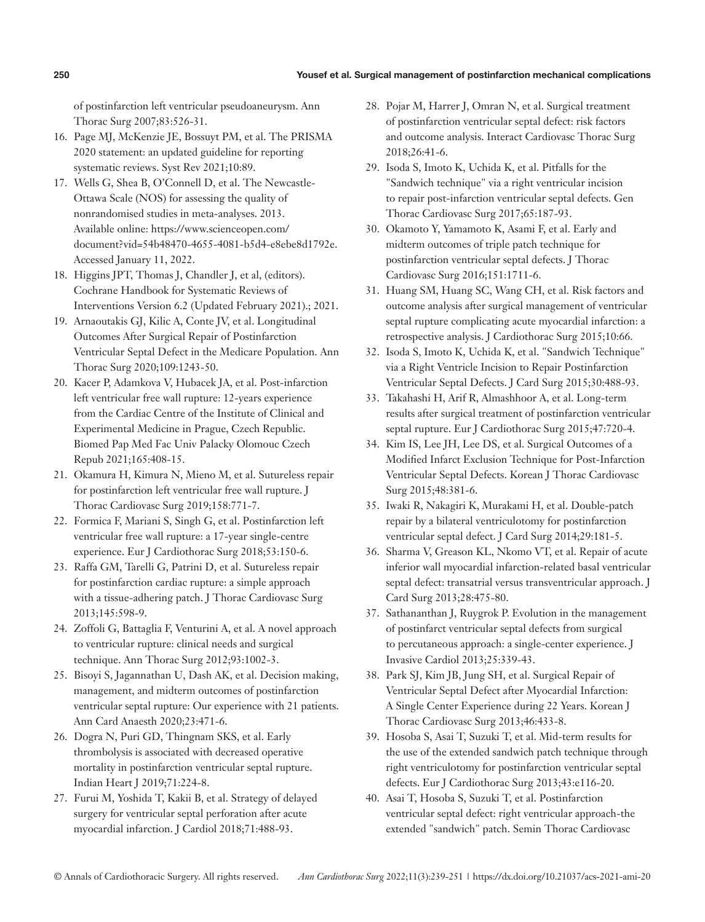# **250** Yousef et al. Surgical management of postinfarction mechanical complications

of postinfarction left ventricular pseudoaneurysm. Ann Thorac Surg 2007;83:526-31.

- 16. Page MJ, McKenzie JE, Bossuyt PM, et al. The PRISMA 2020 statement: an updated guideline for reporting systematic reviews. Syst Rev 2021;10:89.
- 17. Wells G, Shea B, O'Connell D, et al. The Newcastle-Ottawa Scale (NOS) for assessing the quality of nonrandomised studies in meta-analyses. 2013. Available online: https://www.scienceopen.com/ document?vid=54b48470-4655-4081-b5d4-e8ebe8d1792e. Accessed January 11, 2022.
- 18. Higgins JPT, Thomas J, Chandler J, et al, (editors). Cochrane Handbook for Systematic Reviews of Interventions Version 6.2 (Updated February 2021).; 2021.
- 19. Arnaoutakis GJ, Kilic A, Conte JV, et al. Longitudinal Outcomes After Surgical Repair of Postinfarction Ventricular Septal Defect in the Medicare Population. Ann Thorac Surg 2020;109:1243-50.
- 20. Kacer P, Adamkova V, Hubacek JA, et al. Post-infarction left ventricular free wall rupture: 12-years experience from the Cardiac Centre of the Institute of Clinical and Experimental Medicine in Prague, Czech Republic. Biomed Pap Med Fac Univ Palacky Olomouc Czech Repub 2021;165:408-15.
- 21. Okamura H, Kimura N, Mieno M, et al. Sutureless repair for postinfarction left ventricular free wall rupture. J Thorac Cardiovasc Surg 2019;158:771-7.
- 22. Formica F, Mariani S, Singh G, et al. Postinfarction left ventricular free wall rupture: a 17-year single-centre experience. Eur J Cardiothorac Surg 2018;53:150-6.
- 23. Raffa GM, Tarelli G, Patrini D, et al. Sutureless repair for postinfarction cardiac rupture: a simple approach with a tissue-adhering patch. J Thorac Cardiovasc Surg 2013;145:598-9.
- 24. Zoffoli G, Battaglia F, Venturini A, et al. A novel approach to ventricular rupture: clinical needs and surgical technique. Ann Thorac Surg 2012;93:1002-3.
- 25. Bisoyi S, Jagannathan U, Dash AK, et al. Decision making, management, and midterm outcomes of postinfarction ventricular septal rupture: Our experience with 21 patients. Ann Card Anaesth 2020;23:471-6.
- 26. Dogra N, Puri GD, Thingnam SKS, et al. Early thrombolysis is associated with decreased operative mortality in postinfarction ventricular septal rupture. Indian Heart J 2019;71:224-8.
- 27. Furui M, Yoshida T, Kakii B, et al. Strategy of delayed surgery for ventricular septal perforation after acute myocardial infarction. J Cardiol 2018;71:488-93.
- 28. Pojar M, Harrer J, Omran N, et al. Surgical treatment of postinfarction ventricular septal defect: risk factors and outcome analysis. Interact Cardiovasc Thorac Surg 2018;26:41-6.
- 29. Isoda S, Imoto K, Uchida K, et al. Pitfalls for the "Sandwich technique" via a right ventricular incision to repair post-infarction ventricular septal defects. Gen Thorac Cardiovasc Surg 2017;65:187-93.
- 30. Okamoto Y, Yamamoto K, Asami F, et al. Early and midterm outcomes of triple patch technique for postinfarction ventricular septal defects. J Thorac Cardiovasc Surg 2016;151:1711-6.
- 31. Huang SM, Huang SC, Wang CH, et al. Risk factors and outcome analysis after surgical management of ventricular septal rupture complicating acute myocardial infarction: a retrospective analysis. J Cardiothorac Surg 2015;10:66.
- 32. Isoda S, Imoto K, Uchida K, et al. "Sandwich Technique" via a Right Ventricle Incision to Repair Postinfarction Ventricular Septal Defects. J Card Surg 2015;30:488-93.
- 33. Takahashi H, Arif R, Almashhoor A, et al. Long-term results after surgical treatment of postinfarction ventricular septal rupture. Eur J Cardiothorac Surg 2015;47:720-4.
- 34. Kim IS, Lee JH, Lee DS, et al. Surgical Outcomes of a Modified Infarct Exclusion Technique for Post-Infarction Ventricular Septal Defects. Korean J Thorac Cardiovasc Surg 2015;48:381-6.
- 35. Iwaki R, Nakagiri K, Murakami H, et al. Double-patch repair by a bilateral ventriculotomy for postinfarction ventricular septal defect. J Card Surg 2014;29:181-5.
- 36. Sharma V, Greason KL, Nkomo VT, et al. Repair of acute inferior wall myocardial infarction-related basal ventricular septal defect: transatrial versus transventricular approach. J Card Surg 2013;28:475-80.
- 37. Sathananthan J, Ruygrok P. Evolution in the management of postinfarct ventricular septal defects from surgical to percutaneous approach: a single-center experience. J Invasive Cardiol 2013;25:339-43.
- 38. Park SJ, Kim JB, Jung SH, et al. Surgical Repair of Ventricular Septal Defect after Myocardial Infarction: A Single Center Experience during 22 Years. Korean J Thorac Cardiovasc Surg 2013;46:433-8.
- 39. Hosoba S, Asai T, Suzuki T, et al. Mid-term results for the use of the extended sandwich patch technique through right ventriculotomy for postinfarction ventricular septal defects. Eur J Cardiothorac Surg 2013;43:e116-20.
- 40. Asai T, Hosoba S, Suzuki T, et al. Postinfarction ventricular septal defect: right ventricular approach-the extended "sandwich" patch. Semin Thorac Cardiovasc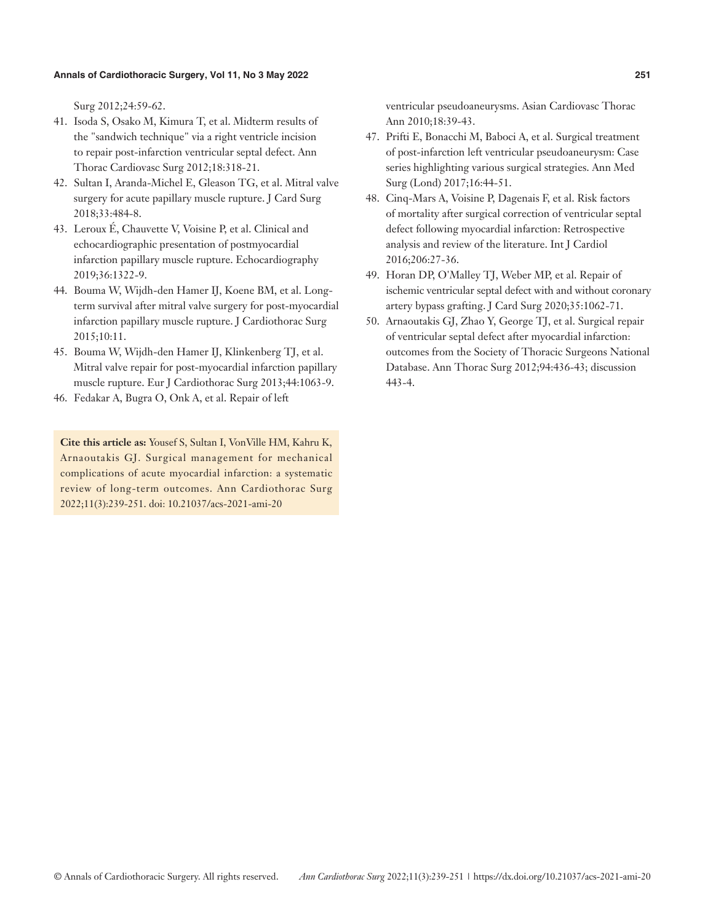Surg 2012;24:59-62.

- 41. Isoda S, Osako M, Kimura T, et al. Midterm results of the "sandwich technique" via a right ventricle incision to repair post-infarction ventricular septal defect. Ann Thorac Cardiovasc Surg 2012;18:318-21.
- 42. Sultan I, Aranda-Michel E, Gleason TG, et al. Mitral valve surgery for acute papillary muscle rupture. J Card Surg 2018;33:484-8.
- 43. Leroux É, Chauvette V, Voisine P, et al. Clinical and echocardiographic presentation of postmyocardial infarction papillary muscle rupture. Echocardiography 2019;36:1322-9.
- 44. Bouma W, Wijdh-den Hamer IJ, Koene BM, et al. Longterm survival after mitral valve surgery for post-myocardial infarction papillary muscle rupture. J Cardiothorac Surg 2015;10:11.
- 45. Bouma W, Wijdh-den Hamer IJ, Klinkenberg TJ, et al. Mitral valve repair for post-myocardial infarction papillary muscle rupture. Eur J Cardiothorac Surg 2013;44:1063-9.
- 46. Fedakar A, Bugra O, Onk A, et al. Repair of left

**Cite this article as:** Yousef S, Sultan I, VonVille HM, Kahru K, Arnaoutakis GJ. Surgical management for mechanical complications of acute myocardial infarction: a systematic review of long-term outcomes. Ann Cardiothorac Surg 2022;11(3):239-251. doi: 10.21037/acs-2021-ami-20

ventricular pseudoaneurysms. Asian Cardiovasc Thorac Ann 2010;18:39-43.

- 47. Prifti E, Bonacchi M, Baboci A, et al. Surgical treatment of post-infarction left ventricular pseudoaneurysm: Case series highlighting various surgical strategies. Ann Med Surg (Lond) 2017;16:44-51.
- 48. Cinq-Mars A, Voisine P, Dagenais F, et al. Risk factors of mortality after surgical correction of ventricular septal defect following myocardial infarction: Retrospective analysis and review of the literature. Int J Cardiol 2016;206:27-36.
- 49. Horan DP, O'Malley TJ, Weber MP, et al. Repair of ischemic ventricular septal defect with and without coronary artery bypass grafting. J Card Surg 2020;35:1062-71.
- 50. Arnaoutakis GJ, Zhao Y, George TJ, et al. Surgical repair of ventricular septal defect after myocardial infarction: outcomes from the Society of Thoracic Surgeons National Database. Ann Thorac Surg 2012;94:436-43; discussion 443-4.